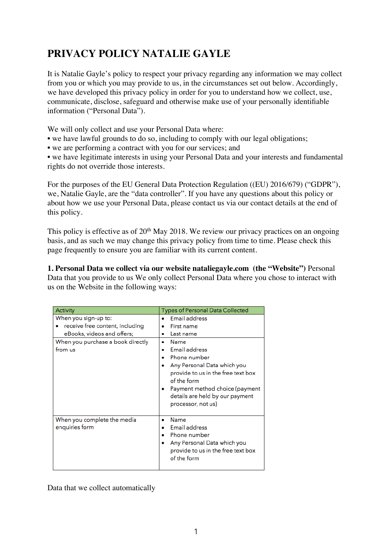# **PRIVACY POLICY NATALIE GAYLE**

It is Natalie Gayle's policy to respect your privacy regarding any information we may collect from you or which you may provide to us, in the circumstances set out below. Accordingly, we have developed this privacy policy in order for you to understand how we collect, use, communicate, disclose, safeguard and otherwise make use of your personally identifiable information ("Personal Data").

We will only collect and use your Personal Data where:

- we have lawful grounds to do so, including to comply with our legal obligations;
- we are performing a contract with you for our services; and

• we have legitimate interests in using your Personal Data and your interests and fundamental rights do not override those interests.

For the purposes of the EU General Data Protection Regulation ((EU) 2016/679) ("GDPR"), we, Natalie Gayle, are the "data controller". If you have any questions about this policy or about how we use your Personal Data, please contact us via our contact details at the end of this policy.

This policy is effective as of  $20<sup>th</sup>$  May 2018. We review our privacy practices on an ongoing basis, and as such we may change this privacy policy from time to time. Please check this page frequently to ensure you are familiar with its current content.

**1. Personal Data we collect via our website [nataliegayle.com](http://nataliegayle.com) (the "Website")** Personal Data that you provide to us We only collect Personal Data where you chose to interact with us on the Website in the following ways:

| Activity                                                                                                                              | <b>Types of Personal Data Collected</b>                                                                                                                                                                                                                                 |
|---------------------------------------------------------------------------------------------------------------------------------------|-------------------------------------------------------------------------------------------------------------------------------------------------------------------------------------------------------------------------------------------------------------------------|
| When you sign-up to:<br>receive free content, including<br>eBooks, videos and offers;<br>When you purchase a book directly<br>from us | Email address<br>First name<br>Last name<br>Name<br><b>Email address</b><br>Phone number<br>Any Personal Data which you<br>provide to us in the free text box<br>of the form<br>Payment method choice (payment<br>details are held by our payment<br>processor, not us) |
| When you complete the media<br>enquiries form                                                                                         | Name<br>Email address<br>Phone number<br>Any Personal Data which you<br>provide to us in the free text box<br>of the form                                                                                                                                               |

Data that we collect automatically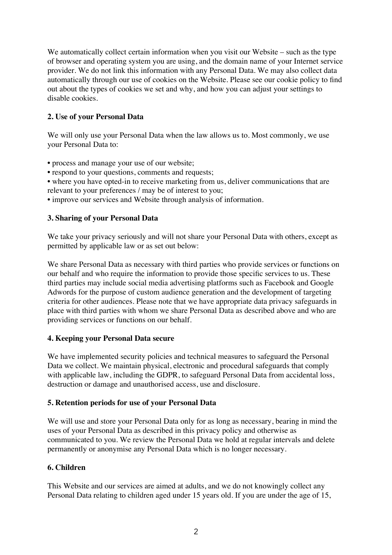We automatically collect certain information when you visit our Website – such as the type of browser and operating system you are using, and the domain name of your Internet service provider. We do not link this information with any Personal Data. We may also collect data automatically through our use of cookies on the Website. Please see our cookie policy to find out about the types of cookies we set and why, and how you can adjust your settings to disable cookies.

# **2. Use of your Personal Data**

We will only use your Personal Data when the law allows us to. Most commonly, we use your Personal Data to:

- process and manage your use of our website;
- respond to your questions, comments and requests;
- where you have opted-in to receive marketing from us, deliver communications that are relevant to your preferences / may be of interest to you;
- improve our services and Website through analysis of information.

## **3. Sharing of your Personal Data**

We take your privacy seriously and will not share your Personal Data with others, except as permitted by applicable law or as set out below:

We share Personal Data as necessary with third parties who provide services or functions on our behalf and who require the information to provide those specific services to us. These third parties may include social media advertising platforms such as Facebook and Google Adwords for the purpose of custom audience generation and the development of targeting criteria for other audiences. Please note that we have appropriate data privacy safeguards in place with third parties with whom we share Personal Data as described above and who are providing services or functions on our behalf.

## **4. Keeping your Personal Data secure**

We have implemented security policies and technical measures to safeguard the Personal Data we collect. We maintain physical, electronic and procedural safeguards that comply with applicable law, including the GDPR, to safeguard Personal Data from accidental loss, destruction or damage and unauthorised access, use and disclosure.

## **5. Retention periods for use of your Personal Data**

We will use and store your Personal Data only for as long as necessary, bearing in mind the uses of your Personal Data as described in this privacy policy and otherwise as communicated to you. We review the Personal Data we hold at regular intervals and delete permanently or anonymise any Personal Data which is no longer necessary.

## **6. Children**

This Website and our services are aimed at adults, and we do not knowingly collect any Personal Data relating to children aged under 15 years old. If you are under the age of 15,